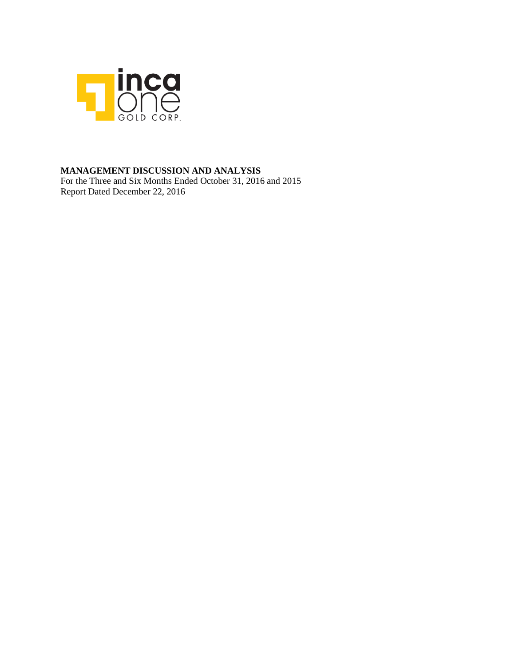

### **MANAGEMENT DISCUSSION AND ANALYSIS**

For the Three and Six Months Ended October 31, 2016 and 2015 Report Dated December 22, 2016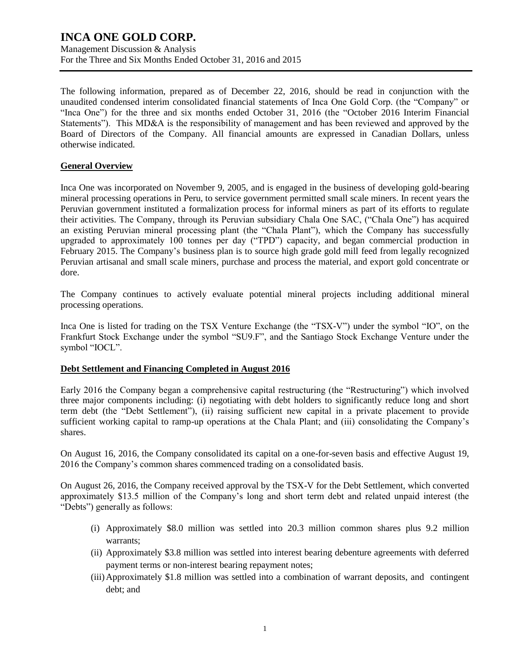The following information, prepared as of December 22, 2016, should be read in conjunction with the unaudited condensed interim consolidated financial statements of Inca One Gold Corp. (the "Company" or "Inca One") for the three and six months ended October 31, 2016 (the "October 2016 Interim Financial Statements"). This MD&A is the responsibility of management and has been reviewed and approved by the Board of Directors of the Company. All financial amounts are expressed in Canadian Dollars, unless otherwise indicated.

### **General Overview**

Inca One was incorporated on November 9, 2005, and is engaged in the business of developing gold-bearing mineral processing operations in Peru, to service government permitted small scale miners. In recent years the Peruvian government instituted a formalization process for informal miners as part of its efforts to regulate their activities. The Company, through its Peruvian subsidiary Chala One SAC, ("Chala One") has acquired an existing Peruvian mineral processing plant (the "Chala Plant"), which the Company has successfully upgraded to approximately 100 tonnes per day ("TPD") capacity, and began commercial production in February 2015. The Company's business plan is to source high grade gold mill feed from legally recognized Peruvian artisanal and small scale miners, purchase and process the material, and export gold concentrate or dore.

The Company continues to actively evaluate potential mineral projects including additional mineral processing operations.

Inca One is listed for trading on the TSX Venture Exchange (the "TSX-V") under the symbol "IO", on the Frankfurt Stock Exchange under the symbol "SU9.F", and the Santiago Stock Exchange Venture under the symbol "IOCL".

### **Debt Settlement and Financing Completed in August 2016**

Early 2016 the Company began a comprehensive capital restructuring (the "Restructuring") which involved three major components including: (i) negotiating with debt holders to significantly reduce long and short term debt (the "Debt Settlement"), (ii) raising sufficient new capital in a private placement to provide sufficient working capital to ramp-up operations at the Chala Plant; and (iii) consolidating the Company's shares.

On August 16, 2016, the Company consolidated its capital on a one-for-seven basis and effective August 19, 2016 the Company's common shares commenced trading on a consolidated basis.

On August 26, 2016, the Company received approval by the TSX-V for the Debt Settlement, which converted approximately \$13.5 million of the Company's long and short term debt and related unpaid interest (the "Debts") generally as follows:

- (i) Approximately \$8.0 million was settled into 20.3 million common shares plus 9.2 million warrants;
- (ii) Approximately \$3.8 million was settled into interest bearing debenture agreements with deferred payment terms or non-interest bearing repayment notes;
- (iii)Approximately \$1.8 million was settled into a combination of warrant deposits, and contingent debt; and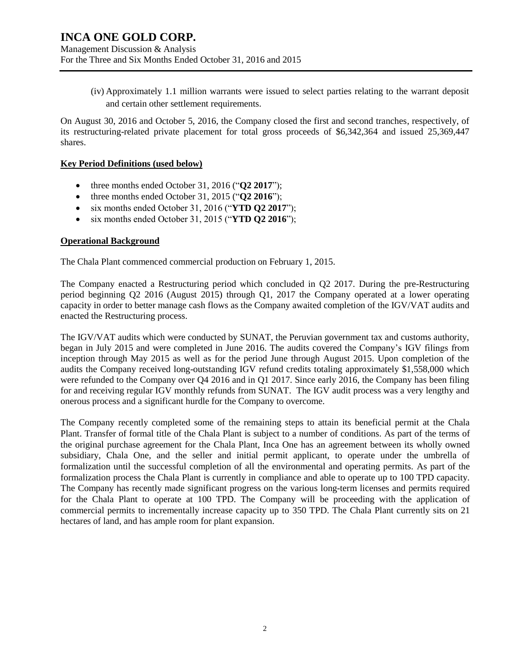Management Discussion & Analysis For the Three and Six Months Ended October 31, 2016 and 2015

> (iv) Approximately 1.1 million warrants were issued to select parties relating to the warrant deposit and certain other settlement requirements.

On August 30, 2016 and October 5, 2016, the Company closed the first and second tranches, respectively, of its restructuring-related private placement for total gross proceeds of \$6,342,364 and issued 25,369,447 shares.

### **Key Period Definitions (used below)**

- three months ended October 31, 2016 ("**Q2 2017**");
- three months ended October 31, 2015 ("**Q2 2016**");
- six months ended October 31, 2016 ("**YTD Q2 2017**");
- six months ended October 31, 2015 ("**YTD Q2 2016**");

### **Operational Background**

The Chala Plant commenced commercial production on February 1, 2015.

The Company enacted a Restructuring period which concluded in Q2 2017. During the pre-Restructuring period beginning Q2 2016 (August 2015) through Q1, 2017 the Company operated at a lower operating capacity in order to better manage cash flows as the Company awaited completion of the IGV/VAT audits and enacted the Restructuring process.

The IGV/VAT audits which were conducted by SUNAT, the Peruvian government tax and customs authority, began in July 2015 and were completed in June 2016. The audits covered the Company's IGV filings from inception through May 2015 as well as for the period June through August 2015. Upon completion of the audits the Company received long-outstanding IGV refund credits totaling approximately \$1,558,000 which were refunded to the Company over Q4 2016 and in Q1 2017. Since early 2016, the Company has been filing for and receiving regular IGV monthly refunds from SUNAT. The IGV audit process was a very lengthy and onerous process and a significant hurdle for the Company to overcome.

The Company recently completed some of the remaining steps to attain its beneficial permit at the Chala Plant. Transfer of formal title of the Chala Plant is subject to a number of conditions. As part of the terms of the original purchase agreement for the Chala Plant, Inca One has an agreement between its wholly owned subsidiary, Chala One, and the seller and initial permit applicant, to operate under the umbrella of formalization until the successful completion of all the environmental and operating permits. As part of the formalization process the Chala Plant is currently in compliance and able to operate up to 100 TPD capacity. The Company has recently made significant progress on the various long-term licenses and permits required for the Chala Plant to operate at 100 TPD. The Company will be proceeding with the application of commercial permits to incrementally increase capacity up to 350 TPD. The Chala Plant currently sits on 21 hectares of land, and has ample room for plant expansion.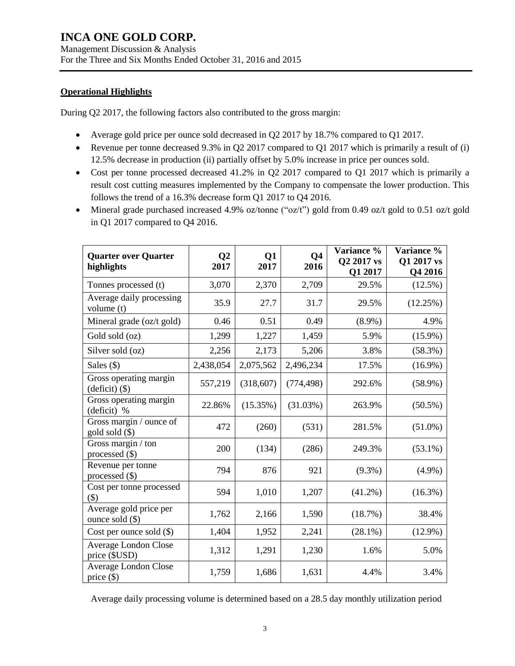### **Operational Highlights**

During Q2 2017, the following factors also contributed to the gross margin:

- Average gold price per ounce sold decreased in Q2 2017 by 18.7% compared to Q1 2017.
- Revenue per tonne decreased 9.3% in Q2 2017 compared to Q1 2017 which is primarily a result of (i) 12.5% decrease in production (ii) partially offset by 5.0% increase in price per ounces sold.
- Cost per tonne processed decreased 41.2% in Q2 2017 compared to Q1 2017 which is primarily a result cost cutting measures implemented by the Company to compensate the lower production. This follows the trend of a 16.3% decrease form Q1 2017 to Q4 2016.
- Mineral grade purchased increased 4.9% oz/tonne (" $oz/t$ ") gold from 0.49 oz/t gold to 0.51 oz/t gold in Q1 2017 compared to Q4 2016.

| <b>Quarter over Quarter</b><br>highlights                 | $\mathbf{O2}$<br>2017 | <b>Q1</b><br>2017 | Q <sub>4</sub><br>2016 | Variance %<br>Q2 2017 vs<br>Q1 2017 | Variance %<br>Q1 2017 vs<br>Q4 2016 |
|-----------------------------------------------------------|-----------------------|-------------------|------------------------|-------------------------------------|-------------------------------------|
| Tonnes processed (t)                                      | 3,070                 | 2,370             | 2,709                  | 29.5%                               | $(12.5\%)$                          |
| Average daily processing<br>volume (t)                    | 35.9                  | 27.7              | 31.7                   | 29.5%                               | (12.25%)                            |
| Mineral grade (oz/t gold)                                 | 0.46                  | 0.51              | 0.49                   | $(8.9\%)$                           | 4.9%                                |
| Gold sold (oz)                                            | 1,299                 | 1,227             | 1,459                  | 5.9%                                | $(15.9\%)$                          |
| Silver sold (oz)                                          | 2,256                 | 2,173             | 5,206                  | 3.8%                                | $(58.3\%)$                          |
| Sales $(\$)$                                              | 2,438,054             | 2,075,562         | 2,496,234              | 17.5%                               | $(16.9\%)$                          |
| Gross operating margin<br>$\text{(deficit)}\text{ } (\$)$ | 557,219               | (318, 607)        | (774, 498)             | 292.6%                              | $(58.9\%)$                          |
| Gross operating margin<br>(deficit) %                     | 22.86%                | (15.35%)          | (31.03%)               | 263.9%                              | $(50.5\%)$                          |
| Gross margin / ounce of<br>$gold$ sold $(\$)$             | 472                   | (260)             | (531)                  | 281.5%                              | $(51.0\%)$                          |
| Gross margin / ton<br>processed $(\$)$                    | 200                   | (134)             | (286)                  | 249.3%                              | $(53.1\%)$                          |
| Revenue per tonne<br>processed $(\$)$                     | 794                   | 876               | 921                    | $(9.3\%)$                           | $(4.9\%)$                           |
| Cost per tonne processed<br>$($ \$)                       | 594                   | 1,010             | 1,207                  | $(41.2\%)$                          | $(16.3\%)$                          |
| Average gold price per<br>ounce sold $(\$)$               | 1,762                 | 2,166             | 1,590                  | (18.7%)                             | 38.4%                               |
| Cost per ounce sold (\$)                                  | 1,404                 | 1,952             | 2,241                  | $(28.1\%)$                          | $(12.9\%)$                          |
| <b>Average London Close</b><br>price (\$USD)              | 1,312                 | 1,291             | 1,230                  | 1.6%                                | 5.0%                                |
| <b>Average London Close</b><br>price $(\$)$               | 1,759                 | 1,686             | 1,631                  | 4.4%                                | 3.4%                                |

Average daily processing volume is determined based on a 28.5 day monthly utilization period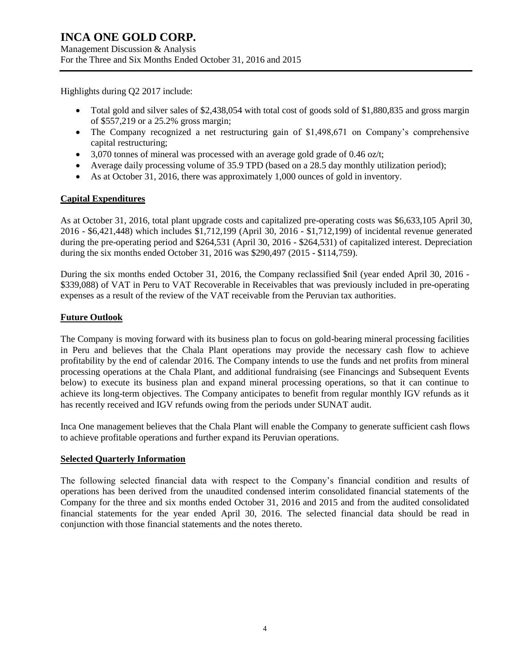Management Discussion & Analysis For the Three and Six Months Ended October 31, 2016 and 2015

Highlights during Q2 2017 include:

- Total gold and silver sales of \$2,438,054 with total cost of goods sold of \$1,880,835 and gross margin of \$557,219 or a 25.2% gross margin;
- The Company recognized a net restructuring gain of \$1,498,671 on Company's comprehensive capital restructuring;
- $\bullet$  3,070 tonnes of mineral was processed with an average gold grade of 0.46 oz/t;
- Average daily processing volume of 35.9 TPD (based on a 28.5 day monthly utilization period);
- As at October 31, 2016, there was approximately 1,000 ounces of gold in inventory.

### **Capital Expenditures**

As at October 31, 2016, total plant upgrade costs and capitalized pre-operating costs was \$6,633,105 April 30, 2016 - \$6,421,448) which includes \$1,712,199 (April 30, 2016 - \$1,712,199) of incidental revenue generated during the pre-operating period and \$264,531 (April 30, 2016 - \$264,531) of capitalized interest. Depreciation during the six months ended October 31, 2016 was \$290,497 (2015 - \$114,759).

During the six months ended October 31, 2016, the Company reclassified \$nil (year ended April 30, 2016 - \$339,088) of VAT in Peru to VAT Recoverable in Receivables that was previously included in pre-operating expenses as a result of the review of the VAT receivable from the Peruvian tax authorities.

### **Future Outlook**

The Company is moving forward with its business plan to focus on gold-bearing mineral processing facilities in Peru and believes that the Chala Plant operations may provide the necessary cash flow to achieve profitability by the end of calendar 2016. The Company intends to use the funds and net profits from mineral processing operations at the Chala Plant, and additional fundraising (see Financings and Subsequent Events below) to execute its business plan and expand mineral processing operations, so that it can continue to achieve its long-term objectives. The Company anticipates to benefit from regular monthly IGV refunds as it has recently received and IGV refunds owing from the periods under SUNAT audit.

Inca One management believes that the Chala Plant will enable the Company to generate sufficient cash flows to achieve profitable operations and further expand its Peruvian operations.

### **Selected Quarterly Information**

The following selected financial data with respect to the Company's financial condition and results of operations has been derived from the unaudited condensed interim consolidated financial statements of the Company for the three and six months ended October 31, 2016 and 2015 and from the audited consolidated financial statements for the year ended April 30, 2016. The selected financial data should be read in conjunction with those financial statements and the notes thereto.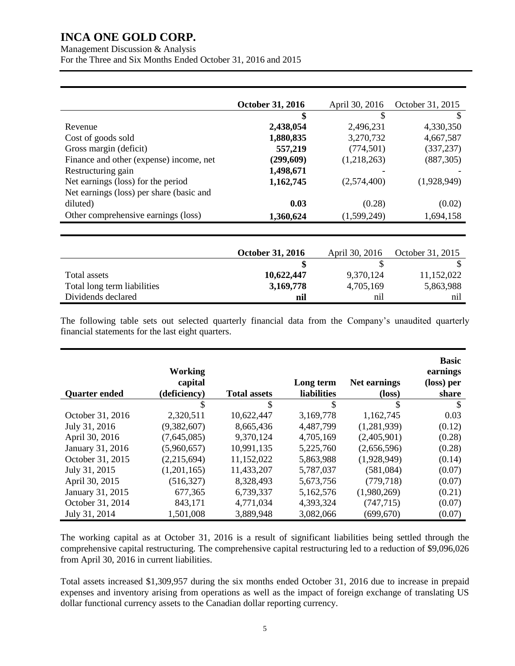Management Discussion & Analysis

For the Three and Six Months Ended October 31, 2016 and 2015

|                                          | <b>October 31, 2016</b> | April 30, 2016 | October 31, 2015 |
|------------------------------------------|-------------------------|----------------|------------------|
|                                          | \$                      | S              | <b>S</b>         |
| Revenue                                  | 2,438,054               | 2,496,231      | 4,330,350        |
| Cost of goods sold                       | 1,880,835               | 3,270,732      | 4,667,587        |
| Gross margin (deficit)                   | 557,219                 | (774, 501)     | (337, 237)       |
| Finance and other (expense) income, net  | (299,609)               | (1,218,263)    | (887, 305)       |
| Restructuring gain                       | 1,498,671               |                |                  |
| Net earnings (loss) for the period       | 1,162,745               | (2,574,400)    | (1,928,949)      |
| Net earnings (loss) per share (basic and |                         |                |                  |
| diluted)                                 | 0.03                    | (0.28)         | (0.02)           |
| Other comprehensive earnings (loss)      | 1,360,624               | (1,599,249)    | 1,694,158        |
|                                          |                         |                |                  |
|                                          |                         |                |                  |
|                                          | October 31, 2016        | April 30, 2016 | October 31, 2015 |
|                                          | \$                      | \$             |                  |

| Total assets                | 10,622,447 | 9,370,124 | 11,152,022 |
|-----------------------------|------------|-----------|------------|
| Total long term liabilities | 3,169,778  | 4,705,169 | 5,863,988  |
| Dividends declared          | nil        | nil       | nil        |

The following table sets out selected quarterly financial data from the Company's unaudited quarterly financial statements for the last eight quarters.

| <b>Quarter ended</b> | Working<br>capital<br>(deficiency) | <b>Total assets</b> | Long term<br><b>liabilities</b> | <b>Net earnings</b><br>$(\text{loss})$ | <b>Basic</b><br>earnings<br>(loss) per<br>share |
|----------------------|------------------------------------|---------------------|---------------------------------|----------------------------------------|-------------------------------------------------|
|                      | S                                  | \$                  | \$                              | \$                                     | \$                                              |
| October 31, 2016     | 2,320,511                          | 10,622,447          | 3,169,778                       | 1,162,745                              | 0.03                                            |
| July 31, 2016        | (9,382,607)                        | 8,665,436           | 4,487,799                       | (1,281,939)                            | (0.12)                                          |
| April 30, 2016       | (7,645,085)                        | 9,370,124           | 4,705,169                       | (2,405,901)                            | (0.28)                                          |
| January 31, 2016     | (5,960,657)                        | 10,991,135          | 5,225,760                       | (2,656,596)                            | (0.28)                                          |
| October 31, 2015     | (2,215,694)                        | 11,152,022          | 5,863,988                       | (1,928,949)                            | (0.14)                                          |
| July 31, 2015        | (1,201,165)                        | 11,433,207          | 5,787,037                       | (581,084)                              | (0.07)                                          |
| April 30, 2015       | (516, 327)                         | 8,328,493           | 5,673,756                       | (779, 718)                             | (0.07)                                          |
| January 31, 2015     | 677,365                            | 6,739,337           | 5,162,576                       | (1,980,269)                            | (0.21)                                          |
| October 31, 2014     | 843,171                            | 4,771,034           | 4,393,324                       | (747, 715)                             | (0.07)                                          |
| July 31, 2014        | 1,501,008                          | 3,889,948           | 3,082,066                       | (699, 670)                             | (0.07)                                          |

The working capital as at October 31, 2016 is a result of significant liabilities being settled through the comprehensive capital restructuring. The comprehensive capital restructuring led to a reduction of \$9,096,026 from April 30, 2016 in current liabilities.

Total assets increased \$1,309,957 during the six months ended October 31, 2016 due to increase in prepaid expenses and inventory arising from operations as well as the impact of foreign exchange of translating US dollar functional currency assets to the Canadian dollar reporting currency.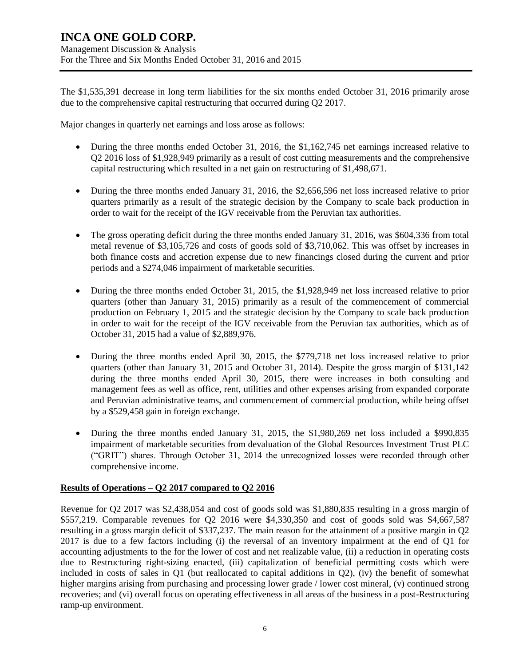The \$1,535,391 decrease in long term liabilities for the six months ended October 31, 2016 primarily arose due to the comprehensive capital restructuring that occurred during Q2 2017.

Major changes in quarterly net earnings and loss arose as follows:

- During the three months ended October 31, 2016, the \$1,162,745 net earnings increased relative to Q2 2016 loss of \$1,928,949 primarily as a result of cost cutting measurements and the comprehensive capital restructuring which resulted in a net gain on restructuring of \$1,498,671.
- During the three months ended January 31, 2016, the \$2,656,596 net loss increased relative to prior quarters primarily as a result of the strategic decision by the Company to scale back production in order to wait for the receipt of the IGV receivable from the Peruvian tax authorities.
- The gross operating deficit during the three months ended January 31, 2016, was \$604,336 from total metal revenue of \$3,105,726 and costs of goods sold of \$3,710,062. This was offset by increases in both finance costs and accretion expense due to new financings closed during the current and prior periods and a \$274,046 impairment of marketable securities.
- During the three months ended October 31, 2015, the \$1,928,949 net loss increased relative to prior quarters (other than January 31, 2015) primarily as a result of the commencement of commercial production on February 1, 2015 and the strategic decision by the Company to scale back production in order to wait for the receipt of the IGV receivable from the Peruvian tax authorities, which as of October 31, 2015 had a value of \$2,889,976.
- During the three months ended April 30, 2015, the \$779,718 net loss increased relative to prior quarters (other than January 31, 2015 and October 31, 2014). Despite the gross margin of \$131,142 during the three months ended April 30, 2015, there were increases in both consulting and management fees as well as office, rent, utilities and other expenses arising from expanded corporate and Peruvian administrative teams, and commencement of commercial production, while being offset by a \$529,458 gain in foreign exchange.
- During the three months ended January 31, 2015, the \$1,980,269 net loss included a \$990,835 impairment of marketable securities from devaluation of the Global Resources Investment Trust PLC ("GRIT") shares. Through October 31, 2014 the unrecognized losses were recorded through other comprehensive income.

### **Results of Operations – Q2 2017 compared to Q2 2016**

Revenue for Q2 2017 was \$2,438,054 and cost of goods sold was \$1,880,835 resulting in a gross margin of \$557,219. Comparable revenues for Q2 2016 were \$4,330,350 and cost of goods sold was \$4,667,587 resulting in a gross margin deficit of \$337,237. The main reason for the attainment of a positive margin in Q2 2017 is due to a few factors including (i) the reversal of an inventory impairment at the end of Q1 for accounting adjustments to the for the lower of cost and net realizable value, (ii) a reduction in operating costs due to Restructuring right-sizing enacted, (iii) capitalization of beneficial permitting costs which were included in costs of sales in Q1 (but reallocated to capital additions in Q2), (iv) the benefit of somewhat higher margins arising from purchasing and processing lower grade / lower cost mineral, (v) continued strong recoveries; and (vi) overall focus on operating effectiveness in all areas of the business in a post-Restructuring ramp-up environment.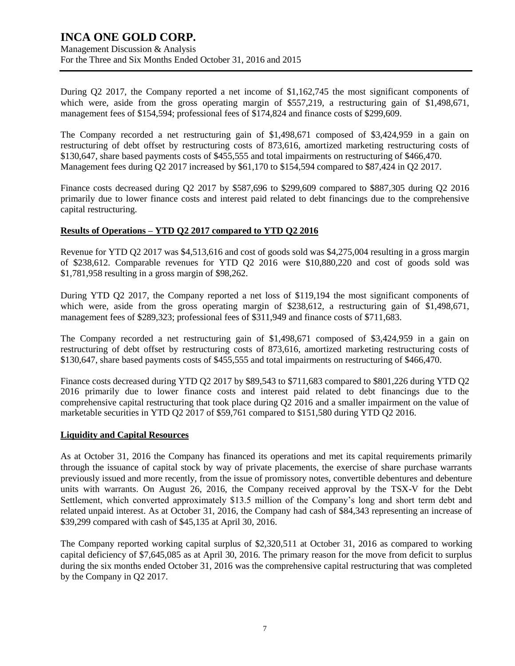Management Discussion & Analysis For the Three and Six Months Ended October 31, 2016 and 2015

During Q2 2017, the Company reported a net income of \$1,162,745 the most significant components of which were, aside from the gross operating margin of \$557,219, a restructuring gain of \$1,498,671, management fees of \$154,594; professional fees of \$174,824 and finance costs of \$299,609.

The Company recorded a net restructuring gain of \$1,498,671 composed of \$3,424,959 in a gain on restructuring of debt offset by restructuring costs of 873,616, amortized marketing restructuring costs of \$130,647, share based payments costs of \$455,555 and total impairments on restructuring of \$466,470. Management fees during Q2 2017 increased by \$61,170 to \$154,594 compared to \$87,424 in Q2 2017.

Finance costs decreased during Q2 2017 by \$587,696 to \$299,609 compared to \$887,305 during Q2 2016 primarily due to lower finance costs and interest paid related to debt financings due to the comprehensive capital restructuring.

### **Results of Operations – YTD Q2 2017 compared to YTD Q2 2016**

Revenue for YTD Q2 2017 was \$4,513,616 and cost of goods sold was \$4,275,004 resulting in a gross margin of \$238,612. Comparable revenues for YTD Q2 2016 were \$10,880,220 and cost of goods sold was \$1,781,958 resulting in a gross margin of \$98,262.

During YTD Q2 2017, the Company reported a net loss of \$119,194 the most significant components of which were, aside from the gross operating margin of \$238,612, a restructuring gain of \$1,498,671, management fees of \$289,323; professional fees of \$311,949 and finance costs of \$711,683.

The Company recorded a net restructuring gain of \$1,498,671 composed of \$3,424,959 in a gain on restructuring of debt offset by restructuring costs of 873,616, amortized marketing restructuring costs of \$130,647, share based payments costs of \$455,555 and total impairments on restructuring of \$466,470.

Finance costs decreased during YTD Q2 2017 by \$89,543 to \$711,683 compared to \$801,226 during YTD Q2 2016 primarily due to lower finance costs and interest paid related to debt financings due to the comprehensive capital restructuring that took place during Q2 2016 and a smaller impairment on the value of marketable securities in YTD Q2 2017 of \$59,761 compared to \$151,580 during YTD Q2 2016.

### **Liquidity and Capital Resources**

As at October 31, 2016 the Company has financed its operations and met its capital requirements primarily through the issuance of capital stock by way of private placements, the exercise of share purchase warrants previously issued and more recently, from the issue of promissory notes, convertible debentures and debenture units with warrants. On August 26, 2016, the Company received approval by the TSX-V for the Debt Settlement, which converted approximately \$13.5 million of the Company's long and short term debt and related unpaid interest. As at October 31, 2016, the Company had cash of \$84,343 representing an increase of \$39,299 compared with cash of \$45,135 at April 30, 2016.

The Company reported working capital surplus of \$2,320,511 at October 31, 2016 as compared to working capital deficiency of \$7,645,085 as at April 30, 2016. The primary reason for the move from deficit to surplus during the six months ended October 31, 2016 was the comprehensive capital restructuring that was completed by the Company in Q2 2017.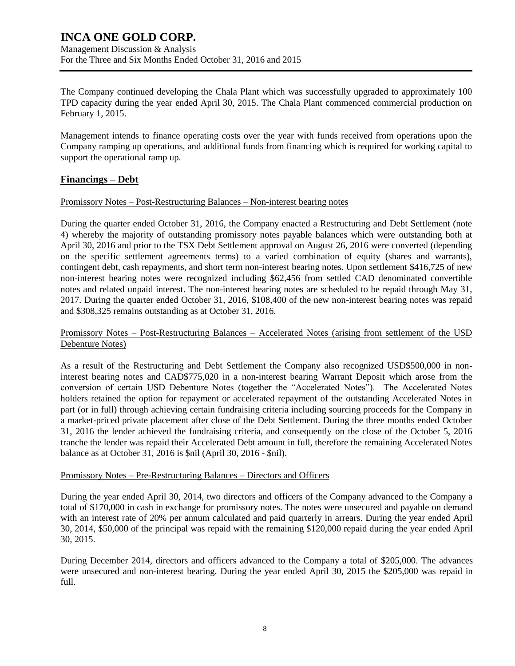Management Discussion & Analysis For the Three and Six Months Ended October 31, 2016 and 2015

The Company continued developing the Chala Plant which was successfully upgraded to approximately 100 TPD capacity during the year ended April 30, 2015. The Chala Plant commenced commercial production on February 1, 2015.

Management intends to finance operating costs over the year with funds received from operations upon the Company ramping up operations, and additional funds from financing which is required for working capital to support the operational ramp up.

### **Financings – Debt**

### Promissory Notes – Post-Restructuring Balances – Non-interest bearing notes

During the quarter ended October 31, 2016, the Company enacted a Restructuring and Debt Settlement (note 4) whereby the majority of outstanding promissory notes payable balances which were outstanding both at April 30, 2016 and prior to the TSX Debt Settlement approval on August 26, 2016 were converted (depending on the specific settlement agreements terms) to a varied combination of equity (shares and warrants), contingent debt, cash repayments, and short term non-interest bearing notes. Upon settlement \$416,725 of new non-interest bearing notes were recognized including \$62,456 from settled CAD denominated convertible notes and related unpaid interest. The non-interest bearing notes are scheduled to be repaid through May 31, 2017. During the quarter ended October 31, 2016, \$108,400 of the new non-interest bearing notes was repaid and \$308,325 remains outstanding as at October 31, 2016.

### Promissory Notes – Post-Restructuring Balances – Accelerated Notes (arising from settlement of the USD Debenture Notes)

As a result of the Restructuring and Debt Settlement the Company also recognized USD\$500,000 in noninterest bearing notes and CAD\$775,020 in a non-interest bearing Warrant Deposit which arose from the conversion of certain USD Debenture Notes (together the "Accelerated Notes"). The Accelerated Notes holders retained the option for repayment or accelerated repayment of the outstanding Accelerated Notes in part (or in full) through achieving certain fundraising criteria including sourcing proceeds for the Company in a market-priced private placement after close of the Debt Settlement. During the three months ended October 31, 2016 the lender achieved the fundraising criteria, and consequently on the close of the October 5, 2016 tranche the lender was repaid their Accelerated Debt amount in full, therefore the remaining Accelerated Notes balance as at October 31, 2016 is \$nil (April 30, 2016 - \$nil).

### Promissory Notes – Pre-Restructuring Balances – Directors and Officers

During the year ended April 30, 2014, two directors and officers of the Company advanced to the Company a total of \$170,000 in cash in exchange for promissory notes. The notes were unsecured and payable on demand with an interest rate of 20% per annum calculated and paid quarterly in arrears. During the year ended April 30, 2014, \$50,000 of the principal was repaid with the remaining \$120,000 repaid during the year ended April 30, 2015.

During December 2014, directors and officers advanced to the Company a total of \$205,000. The advances were unsecured and non-interest bearing. During the year ended April 30, 2015 the \$205,000 was repaid in full.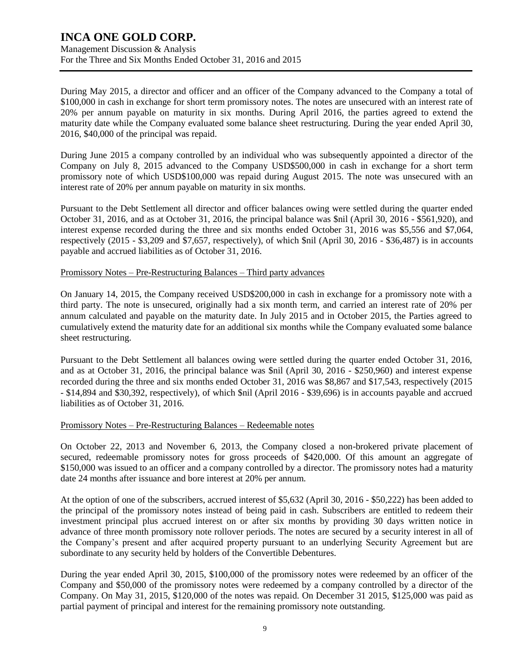During May 2015, a director and officer and an officer of the Company advanced to the Company a total of \$100,000 in cash in exchange for short term promissory notes. The notes are unsecured with an interest rate of 20% per annum payable on maturity in six months. During April 2016, the parties agreed to extend the maturity date while the Company evaluated some balance sheet restructuring. During the year ended April 30, 2016, \$40,000 of the principal was repaid.

During June 2015 a company controlled by an individual who was subsequently appointed a director of the Company on July 8, 2015 advanced to the Company USD\$500,000 in cash in exchange for a short term promissory note of which USD\$100,000 was repaid during August 2015. The note was unsecured with an interest rate of 20% per annum payable on maturity in six months.

Pursuant to the Debt Settlement all director and officer balances owing were settled during the quarter ended October 31, 2016, and as at October 31, 2016, the principal balance was \$nil (April 30, 2016 - \$561,920), and interest expense recorded during the three and six months ended October 31, 2016 was \$5,556 and \$7,064, respectively (2015 - \$3,209 and \$7,657, respectively), of which \$nil (April 30, 2016 - \$36,487) is in accounts payable and accrued liabilities as of October 31, 2016.

### Promissory Notes – Pre-Restructuring Balances – Third party advances

On January 14, 2015, the Company received USD\$200,000 in cash in exchange for a promissory note with a third party. The note is unsecured, originally had a six month term, and carried an interest rate of 20% per annum calculated and payable on the maturity date. In July 2015 and in October 2015, the Parties agreed to cumulatively extend the maturity date for an additional six months while the Company evaluated some balance sheet restructuring.

Pursuant to the Debt Settlement all balances owing were settled during the quarter ended October 31, 2016, and as at October 31, 2016, the principal balance was \$nil (April 30, 2016 - \$250,960) and interest expense recorded during the three and six months ended October 31, 2016 was \$8,867 and \$17,543, respectively (2015 - \$14,894 and \$30,392, respectively), of which \$nil (April 2016 - \$39,696) is in accounts payable and accrued liabilities as of October 31, 2016.

### Promissory Notes – Pre-Restructuring Balances – Redeemable notes

On October 22, 2013 and November 6, 2013, the Company closed a non-brokered private placement of secured, redeemable promissory notes for gross proceeds of \$420,000. Of this amount an aggregate of \$150,000 was issued to an officer and a company controlled by a director. The promissory notes had a maturity date 24 months after issuance and bore interest at 20% per annum.

At the option of one of the subscribers, accrued interest of \$5,632 (April 30, 2016 - \$50,222) has been added to the principal of the promissory notes instead of being paid in cash. Subscribers are entitled to redeem their investment principal plus accrued interest on or after six months by providing 30 days written notice in advance of three month promissory note rollover periods. The notes are secured by a security interest in all of the Company's present and after acquired property pursuant to an underlying Security Agreement but are subordinate to any security held by holders of the Convertible Debentures.

During the year ended April 30, 2015, \$100,000 of the promissory notes were redeemed by an officer of the Company and \$50,000 of the promissory notes were redeemed by a company controlled by a director of the Company. On May 31, 2015, \$120,000 of the notes was repaid. On December 31 2015, \$125,000 was paid as partial payment of principal and interest for the remaining promissory note outstanding.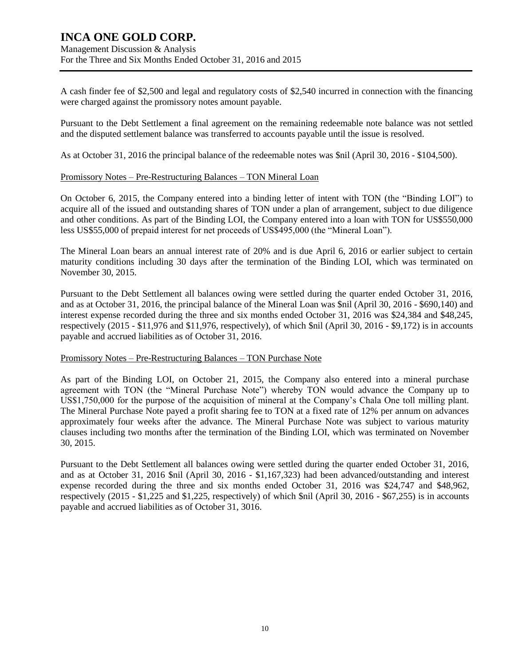Management Discussion & Analysis For the Three and Six Months Ended October 31, 2016 and 2015

A cash finder fee of \$2,500 and legal and regulatory costs of \$2,540 incurred in connection with the financing were charged against the promissory notes amount payable.

Pursuant to the Debt Settlement a final agreement on the remaining redeemable note balance was not settled and the disputed settlement balance was transferred to accounts payable until the issue is resolved.

As at October 31, 2016 the principal balance of the redeemable notes was \$nil (April 30, 2016 - \$104,500).

### Promissory Notes – Pre-Restructuring Balances – TON Mineral Loan

On October 6, 2015, the Company entered into a binding letter of intent with TON (the "Binding LOI") to acquire all of the issued and outstanding shares of TON under a plan of arrangement, subject to due diligence and other conditions. As part of the Binding LOI, the Company entered into a loan with TON for US\$550,000 less US\$55,000 of prepaid interest for net proceeds of US\$495,000 (the "Mineral Loan").

The Mineral Loan bears an annual interest rate of 20% and is due April 6, 2016 or earlier subject to certain maturity conditions including 30 days after the termination of the Binding LOI, which was terminated on November 30, 2015.

Pursuant to the Debt Settlement all balances owing were settled during the quarter ended October 31, 2016, and as at October 31, 2016, the principal balance of the Mineral Loan was \$nil (April 30, 2016 - \$690,140) and interest expense recorded during the three and six months ended October 31, 2016 was \$24,384 and \$48,245, respectively (2015 - \$11,976 and \$11,976, respectively), of which \$nil (April 30, 2016 - \$9,172) is in accounts payable and accrued liabilities as of October 31, 2016.

### Promissory Notes – Pre-Restructuring Balances – TON Purchase Note

As part of the Binding LOI, on October 21, 2015, the Company also entered into a mineral purchase agreement with TON (the "Mineral Purchase Note") whereby TON would advance the Company up to US\$1,750,000 for the purpose of the acquisition of mineral at the Company's Chala One toll milling plant. The Mineral Purchase Note payed a profit sharing fee to TON at a fixed rate of 12% per annum on advances approximately four weeks after the advance. The Mineral Purchase Note was subject to various maturity clauses including two months after the termination of the Binding LOI, which was terminated on November 30, 2015.

Pursuant to the Debt Settlement all balances owing were settled during the quarter ended October 31, 2016, and as at October 31, 2016 \$nil (April 30, 2016 - \$1,167,323) had been advanced/outstanding and interest expense recorded during the three and six months ended October 31, 2016 was \$24,747 and \$48,962, respectively (2015 - \$1,225 and \$1,225, respectively) of which \$nil (April 30, 2016 - \$67,255) is in accounts payable and accrued liabilities as of October 31, 3016.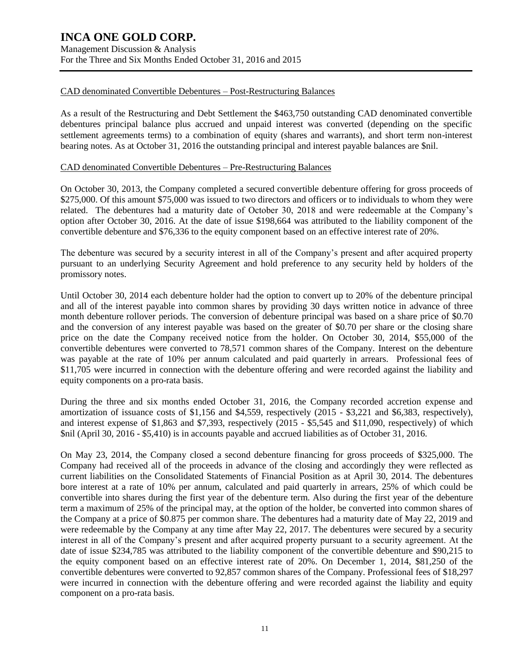#### CAD denominated Convertible Debentures – Post-Restructuring Balances

As a result of the Restructuring and Debt Settlement the \$463,750 outstanding CAD denominated convertible debentures principal balance plus accrued and unpaid interest was converted (depending on the specific settlement agreements terms) to a combination of equity (shares and warrants), and short term non-interest bearing notes. As at October 31, 2016 the outstanding principal and interest payable balances are \$nil.

#### CAD denominated Convertible Debentures – Pre-Restructuring Balances

On October 30, 2013, the Company completed a secured convertible debenture offering for gross proceeds of \$275,000. Of this amount \$75,000 was issued to two directors and officers or to individuals to whom they were related. The debentures had a maturity date of October 30, 2018 and were redeemable at the Company's option after October 30, 2016. At the date of issue \$198,664 was attributed to the liability component of the convertible debenture and \$76,336 to the equity component based on an effective interest rate of 20%.

The debenture was secured by a security interest in all of the Company's present and after acquired property pursuant to an underlying Security Agreement and hold preference to any security held by holders of the promissory notes.

Until October 30, 2014 each debenture holder had the option to convert up to 20% of the debenture principal and all of the interest payable into common shares by providing 30 days written notice in advance of three month debenture rollover periods. The conversion of debenture principal was based on a share price of \$0.70 and the conversion of any interest payable was based on the greater of \$0.70 per share or the closing share price on the date the Company received notice from the holder. On October 30, 2014, \$55,000 of the convertible debentures were converted to 78,571 common shares of the Company. Interest on the debenture was payable at the rate of 10% per annum calculated and paid quarterly in arrears. Professional fees of \$11,705 were incurred in connection with the debenture offering and were recorded against the liability and equity components on a pro-rata basis.

During the three and six months ended October 31, 2016, the Company recorded accretion expense and amortization of issuance costs of \$1,156 and \$4,559, respectively (2015 - \$3,221 and \$6,383, respectively), and interest expense of \$1,863 and \$7,393, respectively (2015 - \$5,545 and \$11,090, respectively) of which \$nil (April 30, 2016 - \$5,410) is in accounts payable and accrued liabilities as of October 31, 2016.

On May 23, 2014, the Company closed a second debenture financing for gross proceeds of \$325,000. The Company had received all of the proceeds in advance of the closing and accordingly they were reflected as current liabilities on the Consolidated Statements of Financial Position as at April 30, 2014. The debentures bore interest at a rate of 10% per annum, calculated and paid quarterly in arrears, 25% of which could be convertible into shares during the first year of the debenture term. Also during the first year of the debenture term a maximum of 25% of the principal may, at the option of the holder, be converted into common shares of the Company at a price of \$0.875 per common share. The debentures had a maturity date of May 22, 2019 and were redeemable by the Company at any time after May 22, 2017. The debentures were secured by a security interest in all of the Company's present and after acquired property pursuant to a security agreement. At the date of issue \$234,785 was attributed to the liability component of the convertible debenture and \$90,215 to the equity component based on an effective interest rate of 20%. On December 1, 2014, \$81,250 of the convertible debentures were converted to 92,857 common shares of the Company. Professional fees of \$18,297 were incurred in connection with the debenture offering and were recorded against the liability and equity component on a pro-rata basis.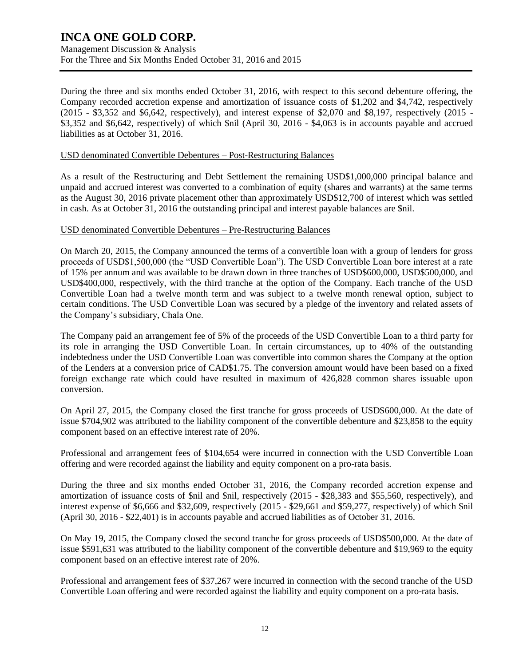During the three and six months ended October 31, 2016, with respect to this second debenture offering, the Company recorded accretion expense and amortization of issuance costs of \$1,202 and \$4,742, respectively  $(2015 - $3,352$  and \$6,642, respectively), and interest expense of \$2,070 and \$8,197, respectively  $(2015 -$ \$3,352 and \$6,642, respectively) of which \$nil (April 30, 2016 - \$4,063 is in accounts payable and accrued liabilities as at October 31, 2016.

### USD denominated Convertible Debentures – Post-Restructuring Balances

As a result of the Restructuring and Debt Settlement the remaining USD\$1,000,000 principal balance and unpaid and accrued interest was converted to a combination of equity (shares and warrants) at the same terms as the August 30, 2016 private placement other than approximately USD\$12,700 of interest which was settled in cash. As at October 31, 2016 the outstanding principal and interest payable balances are \$nil.

#### USD denominated Convertible Debentures – Pre-Restructuring Balances

On March 20, 2015, the Company announced the terms of a convertible loan with a group of lenders for gross proceeds of USD\$1,500,000 (the "USD Convertible Loan"). The USD Convertible Loan bore interest at a rate of 15% per annum and was available to be drawn down in three tranches of USD\$600,000, USD\$500,000, and USD\$400,000, respectively, with the third tranche at the option of the Company. Each tranche of the USD Convertible Loan had a twelve month term and was subject to a twelve month renewal option, subject to certain conditions. The USD Convertible Loan was secured by a pledge of the inventory and related assets of the Company's subsidiary, Chala One.

The Company paid an arrangement fee of 5% of the proceeds of the USD Convertible Loan to a third party for its role in arranging the USD Convertible Loan. In certain circumstances, up to 40% of the outstanding indebtedness under the USD Convertible Loan was convertible into common shares the Company at the option of the Lenders at a conversion price of CAD\$1.75. The conversion amount would have been based on a fixed foreign exchange rate which could have resulted in maximum of 426,828 common shares issuable upon conversion.

On April 27, 2015, the Company closed the first tranche for gross proceeds of USD\$600,000. At the date of issue \$704,902 was attributed to the liability component of the convertible debenture and \$23,858 to the equity component based on an effective interest rate of 20%.

Professional and arrangement fees of \$104,654 were incurred in connection with the USD Convertible Loan offering and were recorded against the liability and equity component on a pro-rata basis.

During the three and six months ended October 31, 2016, the Company recorded accretion expense and amortization of issuance costs of \$nil and \$nil, respectively (2015 - \$28,383 and \$55,560, respectively), and interest expense of \$6,666 and \$32,609, respectively (2015 - \$29,661 and \$59,277, respectively) of which \$nil (April 30, 2016 - \$22,401) is in accounts payable and accrued liabilities as of October 31, 2016.

On May 19, 2015, the Company closed the second tranche for gross proceeds of USD\$500,000. At the date of issue \$591,631 was attributed to the liability component of the convertible debenture and \$19,969 to the equity component based on an effective interest rate of 20%.

Professional and arrangement fees of \$37,267 were incurred in connection with the second tranche of the USD Convertible Loan offering and were recorded against the liability and equity component on a pro-rata basis.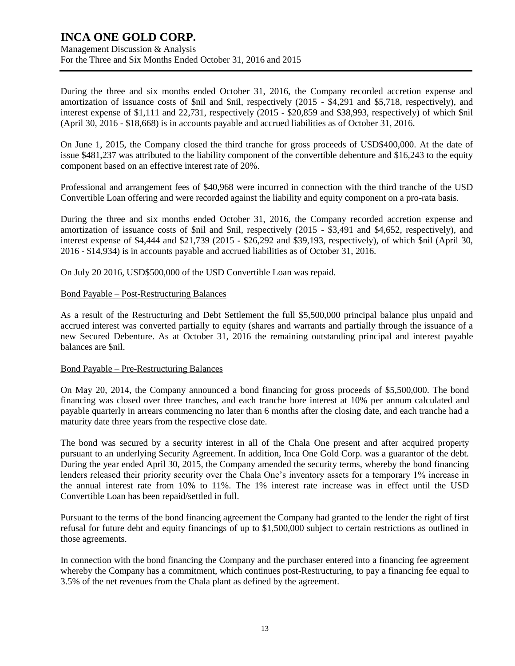Management Discussion & Analysis For the Three and Six Months Ended October 31, 2016 and 2015

During the three and six months ended October 31, 2016, the Company recorded accretion expense and amortization of issuance costs of \$nil and \$nil, respectively (2015 - \$4,291 and \$5,718, respectively), and interest expense of \$1,111 and 22,731, respectively (2015 - \$20,859 and \$38,993, respectively) of which \$nil (April 30, 2016 - \$18,668) is in accounts payable and accrued liabilities as of October 31, 2016.

On June 1, 2015, the Company closed the third tranche for gross proceeds of USD\$400,000. At the date of issue \$481,237 was attributed to the liability component of the convertible debenture and \$16,243 to the equity component based on an effective interest rate of 20%.

Professional and arrangement fees of \$40,968 were incurred in connection with the third tranche of the USD Convertible Loan offering and were recorded against the liability and equity component on a pro-rata basis.

During the three and six months ended October 31, 2016, the Company recorded accretion expense and amortization of issuance costs of \$nil and \$nil, respectively (2015 - \$3,491 and \$4,652, respectively), and interest expense of \$4,444 and \$21,739 (2015 - \$26,292 and \$39,193, respectively), of which \$nil (April 30, 2016 - \$14,934) is in accounts payable and accrued liabilities as of October 31, 2016.

On July 20 2016, USD\$500,000 of the USD Convertible Loan was repaid.

#### Bond Payable – Post-Restructuring Balances

As a result of the Restructuring and Debt Settlement the full \$5,500,000 principal balance plus unpaid and accrued interest was converted partially to equity (shares and warrants and partially through the issuance of a new Secured Debenture. As at October 31, 2016 the remaining outstanding principal and interest payable balances are \$nil.

#### Bond Payable – Pre-Restructuring Balances

On May 20, 2014, the Company announced a bond financing for gross proceeds of \$5,500,000. The bond financing was closed over three tranches, and each tranche bore interest at 10% per annum calculated and payable quarterly in arrears commencing no later than 6 months after the closing date, and each tranche had a maturity date three years from the respective close date.

The bond was secured by a security interest in all of the Chala One present and after acquired property pursuant to an underlying Security Agreement. In addition, Inca One Gold Corp. was a guarantor of the debt. During the year ended April 30, 2015, the Company amended the security terms, whereby the bond financing lenders released their priority security over the Chala One's inventory assets for a temporary 1% increase in the annual interest rate from 10% to 11%. The 1% interest rate increase was in effect until the USD Convertible Loan has been repaid/settled in full.

Pursuant to the terms of the bond financing agreement the Company had granted to the lender the right of first refusal for future debt and equity financings of up to \$1,500,000 subject to certain restrictions as outlined in those agreements.

In connection with the bond financing the Company and the purchaser entered into a financing fee agreement whereby the Company has a commitment, which continues post-Restructuring, to pay a financing fee equal to 3.5% of the net revenues from the Chala plant as defined by the agreement.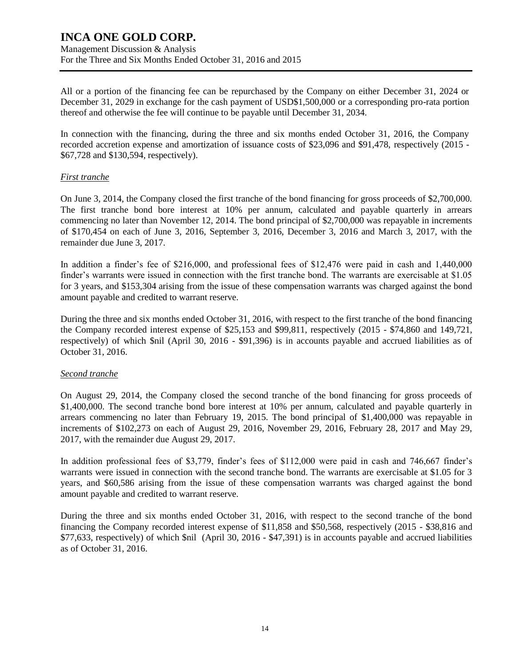### **INCA ONE GOLD CORP.** Management Discussion & Analysis For the Three and Six Months Ended October 31, 2016 and 2015

All or a portion of the financing fee can be repurchased by the Company on either December 31, 2024 or December 31, 2029 in exchange for the cash payment of USD\$1,500,000 or a corresponding pro-rata portion thereof and otherwise the fee will continue to be payable until December 31, 2034.

In connection with the financing, during the three and six months ended October 31, 2016, the Company recorded accretion expense and amortization of issuance costs of \$23,096 and \$91,478, respectively (2015 - \$67,728 and \$130,594, respectively).

### *First tranche*

On June 3, 2014, the Company closed the first tranche of the bond financing for gross proceeds of \$2,700,000. The first tranche bond bore interest at 10% per annum, calculated and payable quarterly in arrears commencing no later than November 12, 2014. The bond principal of \$2,700,000 was repayable in increments of \$170,454 on each of June 3, 2016, September 3, 2016, December 3, 2016 and March 3, 2017, with the remainder due June 3, 2017.

In addition a finder's fee of \$216,000, and professional fees of \$12,476 were paid in cash and 1,440,000 finder's warrants were issued in connection with the first tranche bond. The warrants are exercisable at \$1.05 for 3 years, and \$153,304 arising from the issue of these compensation warrants was charged against the bond amount payable and credited to warrant reserve.

During the three and six months ended October 31, 2016, with respect to the first tranche of the bond financing the Company recorded interest expense of \$25,153 and \$99,811, respectively (2015 - \$74,860 and 149,721, respectively) of which \$nil (April 30, 2016 - \$91,396) is in accounts payable and accrued liabilities as of October 31, 2016.

#### *Second tranche*

On August 29, 2014, the Company closed the second tranche of the bond financing for gross proceeds of \$1,400,000. The second tranche bond bore interest at 10% per annum, calculated and payable quarterly in arrears commencing no later than February 19, 2015. The bond principal of \$1,400,000 was repayable in increments of \$102,273 on each of August 29, 2016, November 29, 2016, February 28, 2017 and May 29, 2017, with the remainder due August 29, 2017.

In addition professional fees of \$3,779, finder's fees of \$112,000 were paid in cash and 746,667 finder's warrants were issued in connection with the second tranche bond. The warrants are exercisable at \$1.05 for 3 years, and \$60,586 arising from the issue of these compensation warrants was charged against the bond amount payable and credited to warrant reserve.

During the three and six months ended October 31, 2016, with respect to the second tranche of the bond financing the Company recorded interest expense of \$11,858 and \$50,568, respectively (2015 - \$38,816 and \$77,633, respectively) of which \$nil (April 30, 2016 - \$47,391) is in accounts payable and accrued liabilities as of October 31, 2016.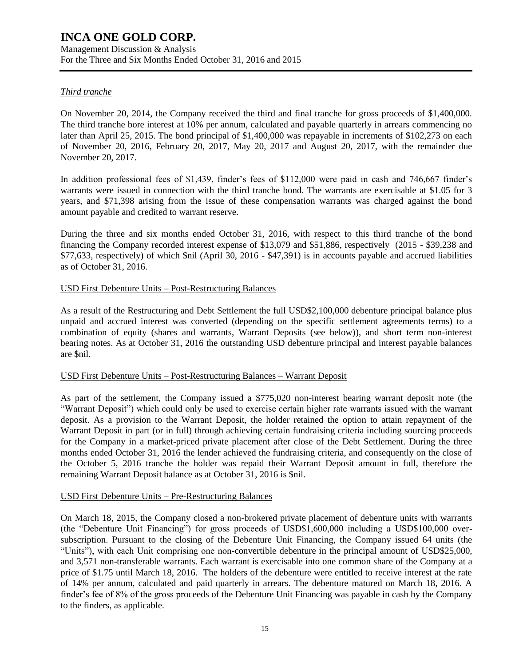### *Third tranche*

On November 20, 2014, the Company received the third and final tranche for gross proceeds of \$1,400,000. The third tranche bore interest at 10% per annum, calculated and payable quarterly in arrears commencing no later than April 25, 2015. The bond principal of \$1,400,000 was repayable in increments of \$102,273 on each of November 20, 2016, February 20, 2017, May 20, 2017 and August 20, 2017, with the remainder due November 20, 2017.

In addition professional fees of \$1,439, finder's fees of \$112,000 were paid in cash and 746,667 finder's warrants were issued in connection with the third tranche bond. The warrants are exercisable at \$1.05 for 3 years, and \$71,398 arising from the issue of these compensation warrants was charged against the bond amount payable and credited to warrant reserve.

During the three and six months ended October 31, 2016, with respect to this third tranche of the bond financing the Company recorded interest expense of \$13,079 and \$51,886, respectively (2015 - \$39,238 and \$77,633, respectively) of which \$nil (April 30, 2016 - \$47,391) is in accounts payable and accrued liabilities as of October 31, 2016.

### USD First Debenture Units – Post-Restructuring Balances

As a result of the Restructuring and Debt Settlement the full USD\$2,100,000 debenture principal balance plus unpaid and accrued interest was converted (depending on the specific settlement agreements terms) to a combination of equity (shares and warrants, Warrant Deposits (see below)), and short term non-interest bearing notes. As at October 31, 2016 the outstanding USD debenture principal and interest payable balances are \$nil.

### USD First Debenture Units – Post-Restructuring Balances – Warrant Deposit

As part of the settlement, the Company issued a \$775,020 non-interest bearing warrant deposit note (the "Warrant Deposit") which could only be used to exercise certain higher rate warrants issued with the warrant deposit. As a provision to the Warrant Deposit, the holder retained the option to attain repayment of the Warrant Deposit in part (or in full) through achieving certain fundraising criteria including sourcing proceeds for the Company in a market-priced private placement after close of the Debt Settlement. During the three months ended October 31, 2016 the lender achieved the fundraising criteria, and consequently on the close of the October 5, 2016 tranche the holder was repaid their Warrant Deposit amount in full, therefore the remaining Warrant Deposit balance as at October 31, 2016 is \$nil.

### USD First Debenture Units – Pre-Restructuring Balances

On March 18, 2015, the Company closed a non-brokered private placement of debenture units with warrants (the "Debenture Unit Financing") for gross proceeds of USD\$1,600,000 including a USD\$100,000 oversubscription. Pursuant to the closing of the Debenture Unit Financing, the Company issued 64 units (the "Units"), with each Unit comprising one non-convertible debenture in the principal amount of USD\$25,000, and 3,571 non-transferable warrants. Each warrant is exercisable into one common share of the Company at a price of \$1.75 until March 18, 2016. The holders of the debenture were entitled to receive interest at the rate of 14% per annum, calculated and paid quarterly in arrears. The debenture matured on March 18, 2016. A finder's fee of 8% of the gross proceeds of the Debenture Unit Financing was payable in cash by the Company to the finders, as applicable.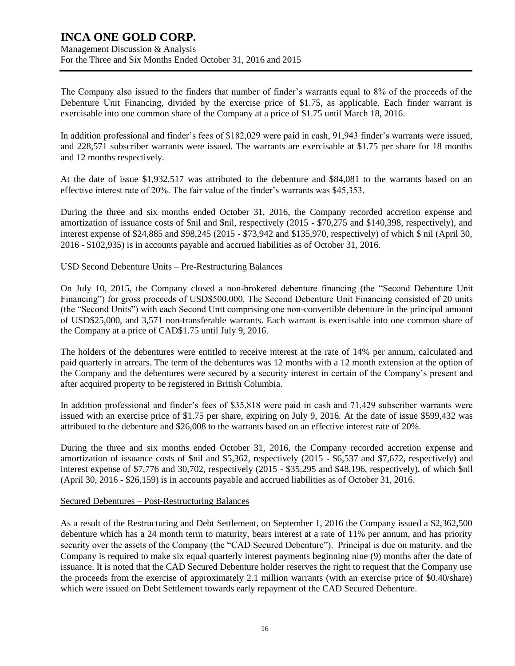### **INCA ONE GOLD CORP.** Management Discussion & Analysis For the Three and Six Months Ended October 31, 2016 and 2015

The Company also issued to the finders that number of finder's warrants equal to 8% of the proceeds of the Debenture Unit Financing, divided by the exercise price of \$1.75, as applicable. Each finder warrant is exercisable into one common share of the Company at a price of \$1.75 until March 18, 2016.

In addition professional and finder's fees of \$182,029 were paid in cash, 91,943 finder's warrants were issued, and 228,571 subscriber warrants were issued. The warrants are exercisable at \$1.75 per share for 18 months and 12 months respectively.

At the date of issue \$1,932,517 was attributed to the debenture and \$84,081 to the warrants based on an effective interest rate of 20%. The fair value of the finder's warrants was \$45,353.

During the three and six months ended October 31, 2016, the Company recorded accretion expense and amortization of issuance costs of \$nil and \$nil, respectively (2015 - \$70,275 and \$140,398, respectively), and interest expense of \$24,885 and \$98,245 (2015 - \$73,942 and \$135,970, respectively) of which \$ nil (April 30, 2016 - \$102,935) is in accounts payable and accrued liabilities as of October 31, 2016.

#### USD Second Debenture Units – Pre-Restructuring Balances

On July 10, 2015, the Company closed a non-brokered debenture financing (the "Second Debenture Unit Financing") for gross proceeds of USD\$500,000. The Second Debenture Unit Financing consisted of 20 units (the "Second Units") with each Second Unit comprising one non-convertible debenture in the principal amount of USD\$25,000, and 3,571 non-transferable warrants. Each warrant is exercisable into one common share of the Company at a price of CAD\$1.75 until July 9, 2016.

The holders of the debentures were entitled to receive interest at the rate of 14% per annum, calculated and paid quarterly in arrears. The term of the debentures was 12 months with a 12 month extension at the option of the Company and the debentures were secured by a security interest in certain of the Company's present and after acquired property to be registered in British Columbia.

In addition professional and finder's fees of \$35,818 were paid in cash and 71,429 subscriber warrants were issued with an exercise price of \$1.75 per share, expiring on July 9, 2016. At the date of issue \$599,432 was attributed to the debenture and \$26,008 to the warrants based on an effective interest rate of 20%.

During the three and six months ended October 31, 2016, the Company recorded accretion expense and amortization of issuance costs of \$nil and \$5,362, respectively (2015 - \$6,537 and \$7,672, respectively) and interest expense of \$7,776 and 30,702, respectively (2015 - \$35,295 and \$48,196, respectively), of which \$nil (April 30, 2016 - \$26,159) is in accounts payable and accrued liabilities as of October 31, 2016.

#### Secured Debentures – Post-Restructuring Balances

As a result of the Restructuring and Debt Settlement, on September 1, 2016 the Company issued a \$2,362,500 debenture which has a 24 month term to maturity, bears interest at a rate of 11% per annum, and has priority security over the assets of the Company (the "CAD Secured Debenture"). Principal is due on maturity, and the Company is required to make six equal quarterly interest payments beginning nine (9) months after the date of issuance. It is noted that the CAD Secured Debenture holder reserves the right to request that the Company use the proceeds from the exercise of approximately 2.1 million warrants (with an exercise price of \$0.40/share) which were issued on Debt Settlement towards early repayment of the CAD Secured Debenture.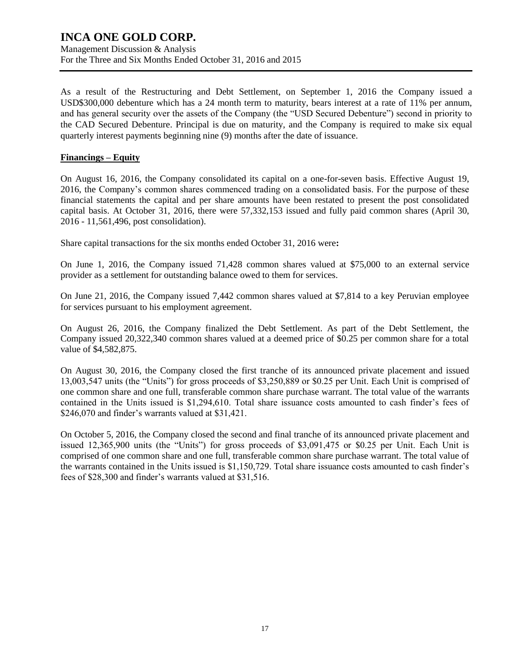Management Discussion & Analysis For the Three and Six Months Ended October 31, 2016 and 2015

As a result of the Restructuring and Debt Settlement, on September 1, 2016 the Company issued a USD\$300,000 debenture which has a 24 month term to maturity, bears interest at a rate of 11% per annum, and has general security over the assets of the Company (the "USD Secured Debenture") second in priority to the CAD Secured Debenture. Principal is due on maturity, and the Company is required to make six equal quarterly interest payments beginning nine (9) months after the date of issuance.

### **Financings – Equity**

On August 16, 2016, the Company consolidated its capital on a one-for-seven basis. Effective August 19, 2016, the Company's common shares commenced trading on a consolidated basis. For the purpose of these financial statements the capital and per share amounts have been restated to present the post consolidated capital basis. At October 31, 2016, there were 57,332,153 issued and fully paid common shares (April 30, 2016 - 11,561,496, post consolidation).

Share capital transactions for the six months ended October 31, 2016 were**:**

On June 1, 2016, the Company issued 71,428 common shares valued at \$75,000 to an external service provider as a settlement for outstanding balance owed to them for services.

On June 21, 2016, the Company issued 7,442 common shares valued at \$7,814 to a key Peruvian employee for services pursuant to his employment agreement.

On August 26, 2016, the Company finalized the Debt Settlement. As part of the Debt Settlement, the Company issued 20,322,340 common shares valued at a deemed price of \$0.25 per common share for a total value of \$4,582,875.

On August 30, 2016, the Company closed the first tranche of its announced private placement and issued 13,003,547 units (the "Units") for gross proceeds of \$3,250,889 or \$0.25 per Unit. Each Unit is comprised of one common share and one full, transferable common share purchase warrant. The total value of the warrants contained in the Units issued is \$1,294,610. Total share issuance costs amounted to cash finder's fees of \$246,070 and finder's warrants valued at \$31,421.

On October 5, 2016, the Company closed the second and final tranche of its announced private placement and issued 12,365,900 units (the "Units") for gross proceeds of \$3,091,475 or \$0.25 per Unit. Each Unit is comprised of one common share and one full, transferable common share purchase warrant. The total value of the warrants contained in the Units issued is \$1,150,729. Total share issuance costs amounted to cash finder's fees of \$28,300 and finder's warrants valued at \$31,516.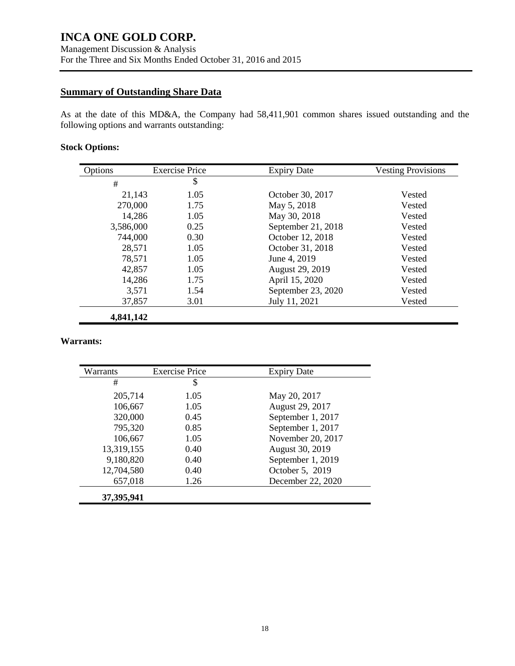### **Summary of Outstanding Share Data**

As at the date of this MD&A, the Company had 58,411,901 common shares issued outstanding and the following options and warrants outstanding:

#### **Stock Options:**

| Options   | <b>Exercise Price</b> | <b>Expiry Date</b> | <b>Vesting Provisions</b> |
|-----------|-----------------------|--------------------|---------------------------|
| #         | \$                    |                    |                           |
| 21,143    | 1.05                  | October 30, 2017   | Vested                    |
| 270,000   | 1.75                  | May 5, 2018        | Vested                    |
| 14,286    | 1.05                  | May 30, 2018       | Vested                    |
| 3,586,000 | 0.25                  | September 21, 2018 | Vested                    |
| 744,000   | 0.30                  | October 12, 2018   | Vested                    |
| 28,571    | 1.05                  | October 31, 2018   | Vested                    |
| 78,571    | 1.05                  | June 4, 2019       | Vested                    |
| 42,857    | 1.05                  | August 29, 2019    | Vested                    |
| 14,286    | 1.75                  | April 15, 2020     | Vested                    |
| 3,571     | 1.54                  | September 23, 2020 | Vested                    |
| 37,857    | 3.01                  | July 11, 2021      | Vested                    |
| 4,841,142 |                       |                    |                           |

### **Warrants:**

| Warrants   | <b>Exercise Price</b> | <b>Expiry Date</b> |
|------------|-----------------------|--------------------|
| #          | \$                    |                    |
| 205,714    | 1.05                  | May 20, 2017       |
| 106,667    | 1.05                  | August 29, 2017    |
| 320,000    | 0.45                  | September 1, 2017  |
| 795,320    | 0.85                  | September 1, 2017  |
| 106,667    | 1.05                  | November 20, 2017  |
| 13,319,155 | 0.40                  | August 30, 2019    |
| 9,180,820  | 0.40                  | September 1, 2019  |
| 12,704,580 | 0.40                  | October 5, 2019    |
| 657,018    | 1.26                  | December 22, 2020  |
| 37,395,941 |                       |                    |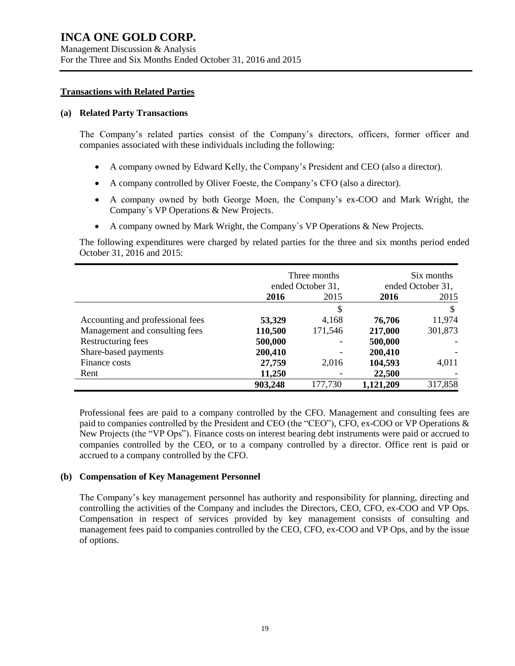#### **Transactions with Related Parties**

#### **(a) Related Party Transactions**

The Company's related parties consist of the Company's directors, officers, former officer and companies associated with these individuals including the following:

- A company owned by Edward Kelly, the Company's President and CEO (also a director).
- A company controlled by Oliver Foeste, the Company's CFO (also a director).
- A company owned by both George Moen, the Company's ex-COO and Mark Wright, the Company`s VP Operations & New Projects.
- A company owned by Mark Wright, the Company`s VP Operations & New Projects.

The following expenditures were charged by related parties for the three and six months period ended October 31, 2016 and 2015:

|                                  | Three months<br>ended October 31, |         | Six months<br>ended October 31, |         |
|----------------------------------|-----------------------------------|---------|---------------------------------|---------|
|                                  | 2016                              | 2015    | 2016                            | 2015    |
|                                  |                                   | S       |                                 | \$      |
| Accounting and professional fees | 53,329                            | 4,168   | 76,706                          | 11,974  |
| Management and consulting fees   | 110,500                           | 171,546 | 217,000                         | 301,873 |
| Restructuring fees               | 500,000                           |         | 500,000                         |         |
| Share-based payments             | 200,410                           |         | 200,410                         |         |
| Finance costs                    | 27,759                            | 2,016   | 104,593                         | 4,011   |
| Rent                             | 11,250                            |         | 22,500                          |         |
|                                  | 903,248                           | 177,730 | 1,121,209                       | 317,858 |

Professional fees are paid to a company controlled by the CFO. Management and consulting fees are paid to companies controlled by the President and CEO (the "CEO"), CFO, ex-COO or VP Operations & New Projects (the "VP Ops"). Finance costs on interest bearing debt instruments were paid or accrued to companies controlled by the CEO, or to a company controlled by a director. Office rent is paid or accrued to a company controlled by the CFO.

### **(b) Compensation of Key Management Personnel**

The Company's key management personnel has authority and responsibility for planning, directing and controlling the activities of the Company and includes the Directors, CEO, CFO, ex-COO and VP Ops. Compensation in respect of services provided by key management consists of consulting and management fees paid to companies controlled by the CEO, CFO, ex-COO and VP Ops, and by the issue of options.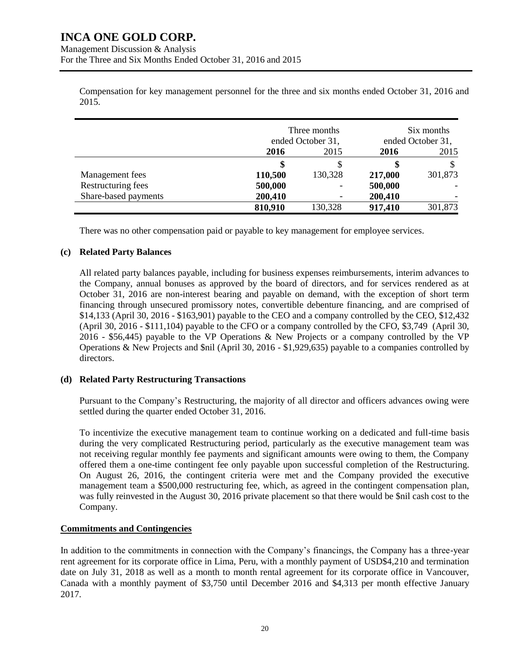Compensation for key management personnel for the three and six months ended October 31, 2016 and 2015.

|                      | Three months<br>ended October 31, |                          | Six months<br>ended October 31, |         |
|----------------------|-----------------------------------|--------------------------|---------------------------------|---------|
|                      | 2016                              | 2015                     | 2016                            | 2015    |
|                      |                                   |                          | \$                              |         |
| Management fees      | 110,500                           | 130,328                  | 217,000                         | 301,873 |
| Restructuring fees   | 500,000                           | $\overline{\phantom{a}}$ | 500,000                         |         |
| Share-based payments | 200,410                           | $\overline{\phantom{a}}$ | 200,410                         |         |
|                      | 810,910                           | 130,328                  | 917,410                         | 301,873 |

There was no other compensation paid or payable to key management for employee services.

### **(c) Related Party Balances**

All related party balances payable, including for business expenses reimbursements, interim advances to the Company, annual bonuses as approved by the board of directors, and for services rendered as at October 31, 2016 are non-interest bearing and payable on demand, with the exception of short term financing through unsecured promissory notes, convertible debenture financing, and are comprised of \$14,133 (April 30, 2016 - \$163,901) payable to the CEO and a company controlled by the CEO, \$12,432 (April 30, 2016 - \$111,104) payable to the CFO or a company controlled by the CFO, \$3,749 (April 30, 2016 - \$56,445) payable to the VP Operations & New Projects or a company controlled by the VP Operations & New Projects and \$nil (April 30, 2016 - \$1,929,635) payable to a companies controlled by directors.

### **(d) Related Party Restructuring Transactions**

Pursuant to the Company's Restructuring, the majority of all director and officers advances owing were settled during the quarter ended October 31, 2016.

To incentivize the executive management team to continue working on a dedicated and full-time basis during the very complicated Restructuring period, particularly as the executive management team was not receiving regular monthly fee payments and significant amounts were owing to them, the Company offered them a one-time contingent fee only payable upon successful completion of the Restructuring. On August 26, 2016, the contingent criteria were met and the Company provided the executive management team a \$500,000 restructuring fee, which, as agreed in the contingent compensation plan, was fully reinvested in the August 30, 2016 private placement so that there would be \$nil cash cost to the Company.

### **Commitments and Contingencies**

In addition to the commitments in connection with the Company's financings, the Company has a three-year rent agreement for its corporate office in Lima, Peru, with a monthly payment of USD\$4,210 and termination date on July 31, 2018 as well as a month to month rental agreement for its corporate office in Vancouver, Canada with a monthly payment of \$3,750 until December 2016 and \$4,313 per month effective January 2017.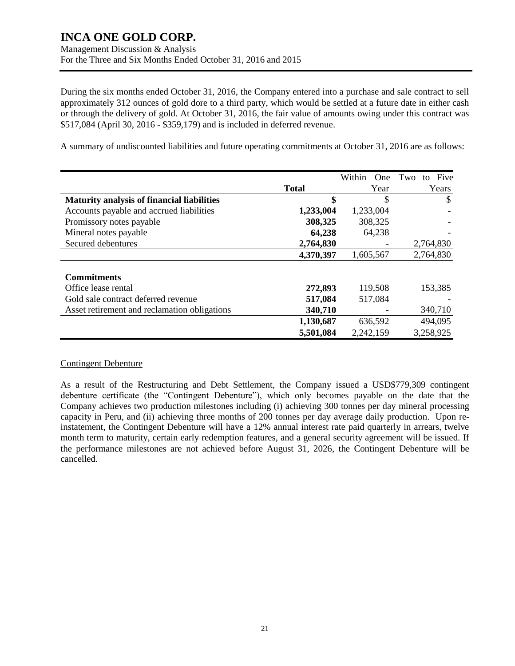Management Discussion & Analysis For the Three and Six Months Ended October 31, 2016 and 2015

During the six months ended October 31, 2016, the Company entered into a purchase and sale contract to sell approximately 312 ounces of gold dore to a third party, which would be settled at a future date in either cash or through the delivery of gold. At October 31, 2016, the fair value of amounts owing under this contract was \$517,084 (April 30, 2016 - \$359,179) and is included in deferred revenue.

A summary of undiscounted liabilities and future operating commitments at October 31, 2016 are as follows:

|                                                   |              | Within<br><b>One</b> | Five<br>Two<br>to |
|---------------------------------------------------|--------------|----------------------|-------------------|
|                                                   | <b>Total</b> | Year                 | Years             |
| <b>Maturity analysis of financial liabilities</b> | \$           | S                    | \$                |
| Accounts payable and accrued liabilities          | 1,233,004    | 1,233,004            |                   |
| Promissory notes payable                          | 308,325      | 308,325              |                   |
| Mineral notes payable                             | 64,238       | 64,238               |                   |
| Secured debentures                                | 2,764,830    |                      | 2,764,830         |
|                                                   | 4,370,397    | 1,605,567            | 2,764,830         |
|                                                   |              |                      |                   |
| <b>Commitments</b>                                |              |                      |                   |
| Office lease rental                               | 272,893      | 119,508              | 153,385           |
| Gold sale contract deferred revenue               | 517,084      | 517,084              |                   |
| Asset retirement and reclamation obligations      | 340,710      |                      | 340,710           |
|                                                   | 1,130,687    | 636,592              | 494,095           |
|                                                   | 5,501,084    | 2,242,159            | 3,258,925         |

### Contingent Debenture

As a result of the Restructuring and Debt Settlement, the Company issued a USD\$779,309 contingent debenture certificate (the "Contingent Debenture"), which only becomes payable on the date that the Company achieves two production milestones including (i) achieving 300 tonnes per day mineral processing capacity in Peru, and (ii) achieving three months of 200 tonnes per day average daily production. Upon reinstatement, the Contingent Debenture will have a 12% annual interest rate paid quarterly in arrears, twelve month term to maturity, certain early redemption features, and a general security agreement will be issued. If the performance milestones are not achieved before August 31, 2026, the Contingent Debenture will be cancelled.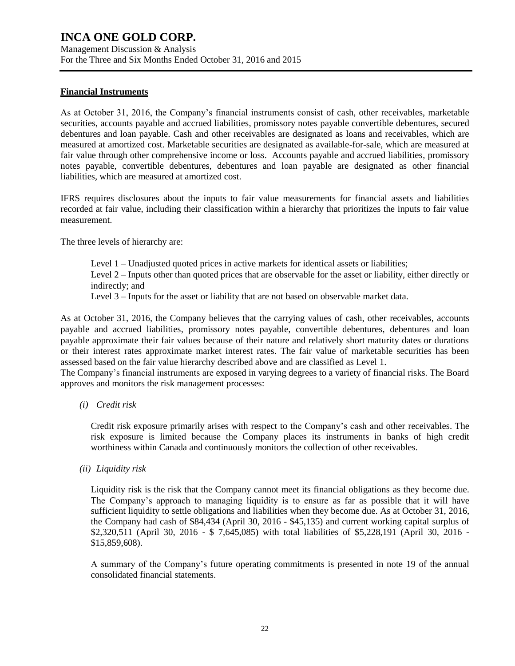Management Discussion & Analysis For the Three and Six Months Ended October 31, 2016 and 2015

#### **Financial Instruments**

As at October 31, 2016, the Company's financial instruments consist of cash, other receivables, marketable securities, accounts payable and accrued liabilities, promissory notes payable convertible debentures, secured debentures and loan payable. Cash and other receivables are designated as loans and receivables, which are measured at amortized cost. Marketable securities are designated as available-for-sale, which are measured at fair value through other comprehensive income or loss. Accounts payable and accrued liabilities, promissory notes payable, convertible debentures, debentures and loan payable are designated as other financial liabilities, which are measured at amortized cost.

IFRS requires disclosures about the inputs to fair value measurements for financial assets and liabilities recorded at fair value, including their classification within a hierarchy that prioritizes the inputs to fair value measurement.

The three levels of hierarchy are:

Level 1 – Unadjusted quoted prices in active markets for identical assets or liabilities;

Level 2 – Inputs other than quoted prices that are observable for the asset or liability, either directly or indirectly; and

Level 3 – Inputs for the asset or liability that are not based on observable market data.

As at October 31, 2016, the Company believes that the carrying values of cash, other receivables, accounts payable and accrued liabilities, promissory notes payable, convertible debentures, debentures and loan payable approximate their fair values because of their nature and relatively short maturity dates or durations or their interest rates approximate market interest rates. The fair value of marketable securities has been assessed based on the fair value hierarchy described above and are classified as Level 1.

The Company's financial instruments are exposed in varying degrees to a variety of financial risks. The Board approves and monitors the risk management processes:

*(i) Credit risk*

Credit risk exposure primarily arises with respect to the Company's cash and other receivables. The risk exposure is limited because the Company places its instruments in banks of high credit worthiness within Canada and continuously monitors the collection of other receivables.

*(ii) Liquidity risk*

Liquidity risk is the risk that the Company cannot meet its financial obligations as they become due. The Company's approach to managing liquidity is to ensure as far as possible that it will have sufficient liquidity to settle obligations and liabilities when they become due. As at October 31, 2016, the Company had cash of \$84,434 (April 30, 2016 - \$45,135) and current working capital surplus of \$2,320,511 (April 30, 2016 - \$ 7,645,085) with total liabilities of \$5,228,191 (April 30, 2016 - \$15,859,608).

A summary of the Company's future operating commitments is presented in note 19 of the annual consolidated financial statements.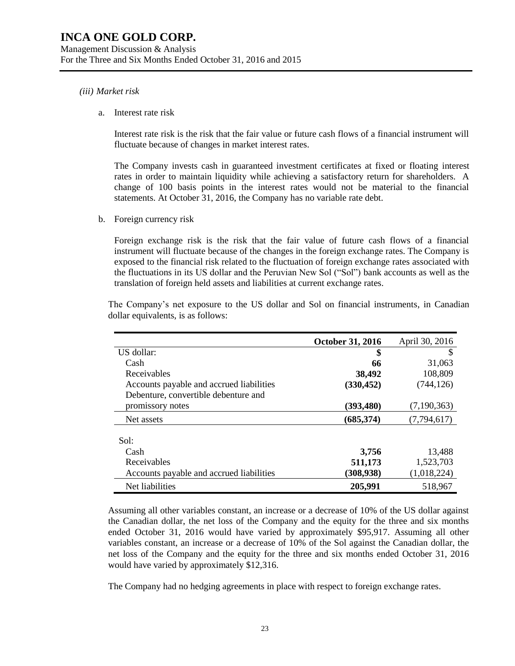### *(iii) Market risk*

a. Interest rate risk

Interest rate risk is the risk that the fair value or future cash flows of a financial instrument will fluctuate because of changes in market interest rates.

The Company invests cash in guaranteed investment certificates at fixed or floating interest rates in order to maintain liquidity while achieving a satisfactory return for shareholders. A change of 100 basis points in the interest rates would not be material to the financial statements. At October 31, 2016, the Company has no variable rate debt.

b. Foreign currency risk

Foreign exchange risk is the risk that the fair value of future cash flows of a financial instrument will fluctuate because of the changes in the foreign exchange rates. The Company is exposed to the financial risk related to the fluctuation of foreign exchange rates associated with the fluctuations in its US dollar and the Peruvian New Sol ("Sol") bank accounts as well as the translation of foreign held assets and liabilities at current exchange rates.

|                                          | October 31, 2016 | April 30, 2016 |
|------------------------------------------|------------------|----------------|
| US dollar:                               | \$               |                |
| Cash                                     | 66               | 31,063         |
| Receivables                              | 38,492           | 108,809        |
| Accounts payable and accrued liabilities | (330, 452)       | (744, 126)     |
| Debenture, convertible debenture and     |                  |                |
| promissory notes                         | (393, 480)       | (7,190,363)    |
| Net assets                               | (685, 374)       | (7,794,617)    |
| Sol:                                     |                  |                |
| Cash                                     | 3,756            | 13,488         |
| Receivables                              | 511,173          | 1,523,703      |
| Accounts payable and accrued liabilities | (308, 938)       | (1,018,224)    |
| Net liabilities                          | 205,991          | 518,967        |

The Company's net exposure to the US dollar and Sol on financial instruments, in Canadian dollar equivalents, is as follows:

Assuming all other variables constant, an increase or a decrease of 10% of the US dollar against the Canadian dollar, the net loss of the Company and the equity for the three and six months ended October 31, 2016 would have varied by approximately \$95,917. Assuming all other variables constant, an increase or a decrease of 10% of the Sol against the Canadian dollar, the net loss of the Company and the equity for the three and six months ended October 31, 2016 would have varied by approximately \$12,316.

The Company had no hedging agreements in place with respect to foreign exchange rates.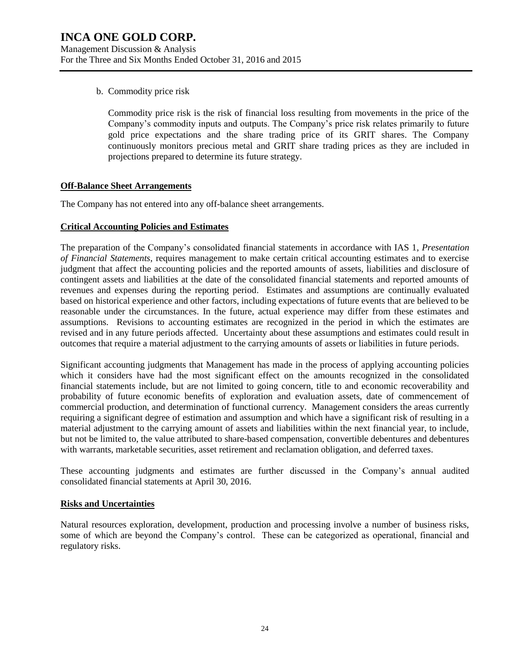b. Commodity price risk

Commodity price risk is the risk of financial loss resulting from movements in the price of the Company's commodity inputs and outputs. The Company's price risk relates primarily to future gold price expectations and the share trading price of its GRIT shares. The Company continuously monitors precious metal and GRIT share trading prices as they are included in projections prepared to determine its future strategy.

### **Off-Balance Sheet Arrangements**

The Company has not entered into any off-balance sheet arrangements.

### **Critical Accounting Policies and Estimates**

The preparation of the Company's consolidated financial statements in accordance with IAS 1, *Presentation of Financial Statements*, requires management to make certain critical accounting estimates and to exercise judgment that affect the accounting policies and the reported amounts of assets, liabilities and disclosure of contingent assets and liabilities at the date of the consolidated financial statements and reported amounts of revenues and expenses during the reporting period. Estimates and assumptions are continually evaluated based on historical experience and other factors, including expectations of future events that are believed to be reasonable under the circumstances. In the future, actual experience may differ from these estimates and assumptions. Revisions to accounting estimates are recognized in the period in which the estimates are revised and in any future periods affected. Uncertainty about these assumptions and estimates could result in outcomes that require a material adjustment to the carrying amounts of assets or liabilities in future periods.

Significant accounting judgments that Management has made in the process of applying accounting policies which it considers have had the most significant effect on the amounts recognized in the consolidated financial statements include, but are not limited to going concern, title to and economic recoverability and probability of future economic benefits of exploration and evaluation assets, date of commencement of commercial production, and determination of functional currency. Management considers the areas currently requiring a significant degree of estimation and assumption and which have a significant risk of resulting in a material adjustment to the carrying amount of assets and liabilities within the next financial year, to include, but not be limited to, the value attributed to share-based compensation, convertible debentures and debentures with warrants, marketable securities, asset retirement and reclamation obligation, and deferred taxes.

These accounting judgments and estimates are further discussed in the Company's annual audited consolidated financial statements at April 30, 2016.

### **Risks and Uncertainties**

Natural resources exploration, development, production and processing involve a number of business risks, some of which are beyond the Company's control. These can be categorized as operational, financial and regulatory risks.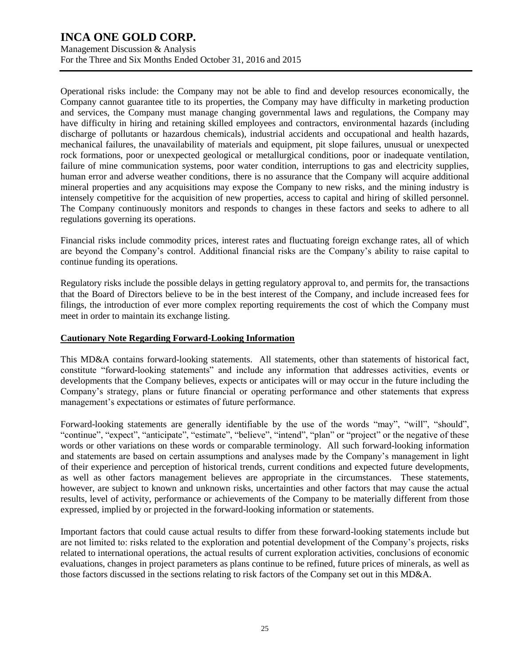Management Discussion & Analysis For the Three and Six Months Ended October 31, 2016 and 2015

Operational risks include: the Company may not be able to find and develop resources economically, the Company cannot guarantee title to its properties, the Company may have difficulty in marketing production and services, the Company must manage changing governmental laws and regulations, the Company may have difficulty in hiring and retaining skilled employees and contractors, environmental hazards (including discharge of pollutants or hazardous chemicals), industrial accidents and occupational and health hazards, mechanical failures, the unavailability of materials and equipment, pit slope failures, unusual or unexpected rock formations, poor or unexpected geological or metallurgical conditions, poor or inadequate ventilation, failure of mine communication systems, poor water condition, interruptions to gas and electricity supplies, human error and adverse weather conditions, there is no assurance that the Company will acquire additional mineral properties and any acquisitions may expose the Company to new risks, and the mining industry is intensely competitive for the acquisition of new properties, access to capital and hiring of skilled personnel. The Company continuously monitors and responds to changes in these factors and seeks to adhere to all regulations governing its operations.

Financial risks include commodity prices, interest rates and fluctuating foreign exchange rates, all of which are beyond the Company's control. Additional financial risks are the Company's ability to raise capital to continue funding its operations.

Regulatory risks include the possible delays in getting regulatory approval to, and permits for, the transactions that the Board of Directors believe to be in the best interest of the Company, and include increased fees for filings, the introduction of ever more complex reporting requirements the cost of which the Company must meet in order to maintain its exchange listing.

### **Cautionary Note Regarding Forward-Looking Information**

This MD&A contains forward-looking statements. All statements, other than statements of historical fact, constitute "forward-looking statements" and include any information that addresses activities, events or developments that the Company believes, expects or anticipates will or may occur in the future including the Company's strategy, plans or future financial or operating performance and other statements that express management's expectations or estimates of future performance.

Forward-looking statements are generally identifiable by the use of the words "may", "will", "should", "continue", "expect", "anticipate", "estimate", "believe", "intend", "plan" or "project" or the negative of these words or other variations on these words or comparable terminology. All such forward-looking information and statements are based on certain assumptions and analyses made by the Company's management in light of their experience and perception of historical trends, current conditions and expected future developments, as well as other factors management believes are appropriate in the circumstances. These statements, however, are subject to known and unknown risks, uncertainties and other factors that may cause the actual results, level of activity, performance or achievements of the Company to be materially different from those expressed, implied by or projected in the forward-looking information or statements.

Important factors that could cause actual results to differ from these forward-looking statements include but are not limited to: risks related to the exploration and potential development of the Company's projects, risks related to international operations, the actual results of current exploration activities, conclusions of economic evaluations, changes in project parameters as plans continue to be refined, future prices of minerals, as well as those factors discussed in the sections relating to risk factors of the Company set out in this MD&A.